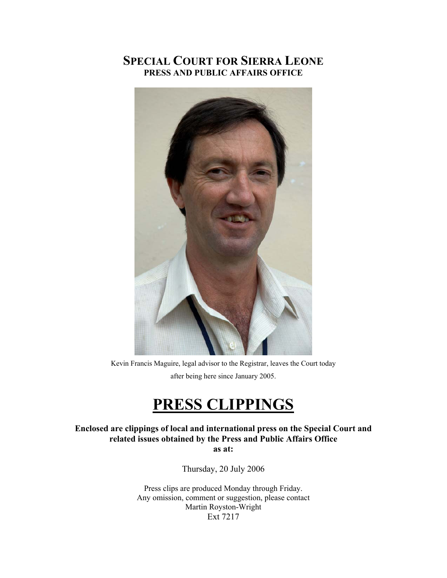# **SPECIAL COURT FOR SIERRA LEONE PRESS AND PUBLIC AFFAIRS OFFICE**



Kevin Francis Maguire, legal advisor to the Registrar, leaves the Court today after being here since January 2005.

# **PRESS CLIPPINGS**

**Enclosed are clippings of local and international press on the Special Court and related issues obtained by the Press and Public Affairs Office as at:** 

Thursday, 20 July 2006

Press clips are produced Monday through Friday. Any omission, comment or suggestion, please contact Martin Royston-Wright Ext 7217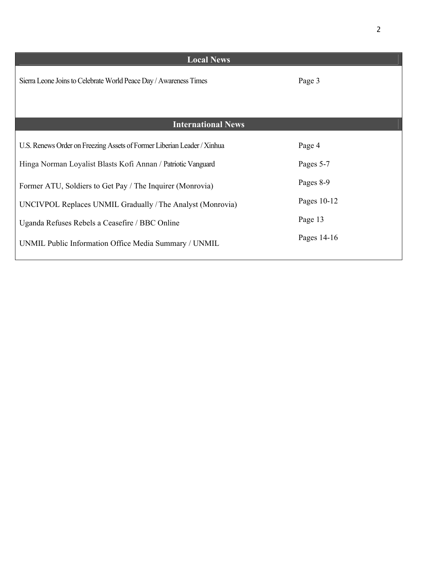| <b>Local News</b>                                                       |             |
|-------------------------------------------------------------------------|-------------|
| Sierra Leone Joins to Celebrate World Peace Day / Awareness Times       | Page 3      |
|                                                                         |             |
| <b>International News</b>                                               |             |
| U.S. Renews Order on Freezing Assets of Former Liberian Leader / Xinhua | Page 4      |
| Hinga Norman Loyalist Blasts Kofi Annan / Patriotic Vanguard            | Pages 5-7   |
| Former ATU, Soldiers to Get Pay / The Inquirer (Monrovia)               | Pages 8-9   |
| UNCIVPOL Replaces UNMIL Gradually / The Analyst (Monrovia)              | Pages 10-12 |
| Uganda Refuses Rebels a Ceasefire / BBC Online                          | Page 13     |
| UNMIL Public Information Office Media Summary / UNMIL                   | Pages 14-16 |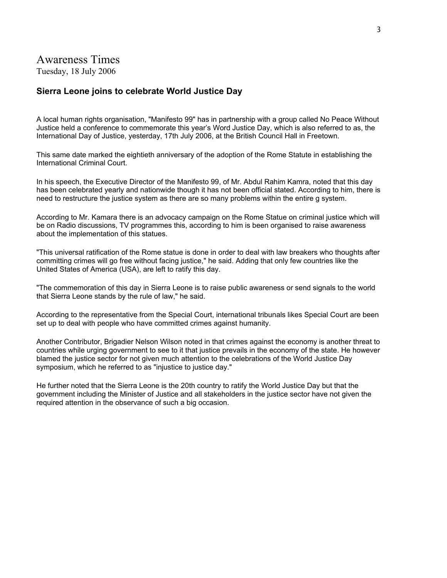### Awareness Times

Tuesday, 18 July 2006

### **Sierra Leone joins to celebrate World Justice Day**

A local human rights organisation, "Manifesto 99" has in partnership with a group called No Peace Without Justice held a conference to commemorate this year's Word Justice Day, which is also referred to as, the International Day of Justice, yesterday, 17th July 2006, at the British Council Hall in Freetown.

This same date marked the eightieth anniversary of the adoption of the Rome Statute in establishing the International Criminal Court.

In his speech, the Executive Director of the Manifesto 99, of Mr. Abdul Rahim Kamra, noted that this day has been celebrated yearly and nationwide though it has not been official stated. According to him, there is need to restructure the justice system as there are so many problems within the entire g system.

According to Mr. Kamara there is an advocacy campaign on the Rome Statue on criminal justice which will be on Radio discussions, TV programmes this, according to him is been organised to raise awareness about the implementation of this statues.

"This universal ratification of the Rome statue is done in order to deal with law breakers who thoughts after committing crimes will go free without facing justice," he said. Adding that only few countries like the United States of America (USA), are left to ratify this day.

"The commemoration of this day in Sierra Leone is to raise public awareness or send signals to the world that Sierra Leone stands by the rule of law," he said.

According to the representative from the Special Court, international tribunals likes Special Court are been set up to deal with people who have committed crimes against humanity.

Another Contributor, Brigadier Nelson Wilson noted in that crimes against the economy is another threat to countries while urging government to see to it that justice prevails in the economy of the state. He however blamed the justice sector for not given much attention to the celebrations of the World Justice Day symposium, which he referred to as "injustice to justice day."

He further noted that the Sierra Leone is the 20th country to ratify the World Justice Day but that the government including the Minister of Justice and all stakeholders in the justice sector have not given the required attention in the observance of such a big occasion.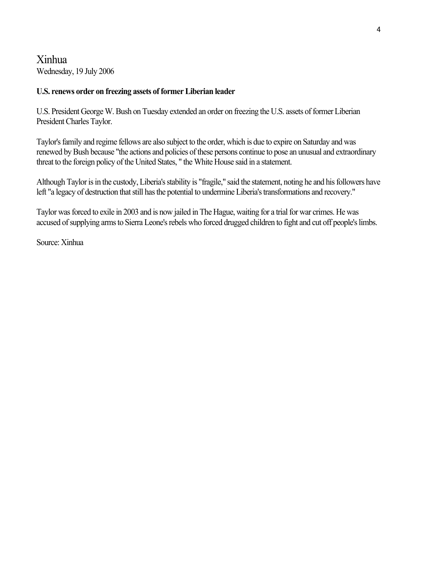## Xinhua Wednesday, 19 July 2006

### **U.S. renews order on freezing assets of former Liberian leader**

U.S. President George W. Bush on Tuesday extended an order on freezing the U.S. assets of former Liberian President Charles Taylor.

Taylor's family and regime fellows are also subject to the order, which is due to expire on Saturday and was renewed by Bush because "the actions and policies of these persons continue to pose an unusual and extraordinary threat to the foreign policy of the United States, " the White House said in a statement.

Although Taylor is in the custody, Liberia's stability is "fragile," said the statement, noting he and his followers have left "a legacy of destruction that still has the potential to undermine Liberia's transformations and recovery."

Taylor was forced to exile in 2003 and is now jailed in The Hague, waiting for a trial for war crimes. He was accused of supplying arms to Sierra Leone's rebels who forced drugged children to fight and cut off people's limbs.

Source: Xinhua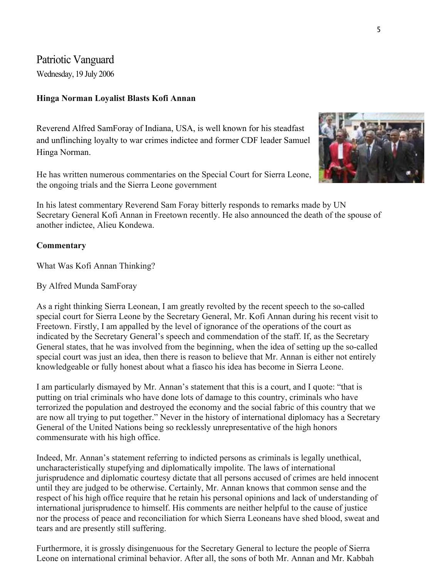Patriotic Vanguard

Wednesday, 19 July 2006

### **Hinga Norman Loyalist Blasts Kofi Annan**

Reverend Alfred SamForay of Indiana, USA, is well known for his steadfast and unflinching loyalty to war crimes indictee and former CDF leader Samuel Hinga Norman.

He has written numerous commentaries on the Special Court for Sierra Leone, the ongoing trials and the Sierra Leone government



In his latest commentary Reverend Sam Foray bitterly responds to remarks made by UN Secretary General Kofi Annan in Freetown recently. He also announced the death of the spouse of another indictee, Alieu Kondewa.

### **Commentary**

What Was Kofi Annan Thinking?

By Alfred Munda SamForay

As a right thinking Sierra Leonean, I am greatly revolted by the recent speech to the so-called special court for Sierra Leone by the Secretary General, Mr. Kofi Annan during his recent visit to Freetown. Firstly, I am appalled by the level of ignorance of the operations of the court as indicated by the Secretary General's speech and commendation of the staff. If, as the Secretary General states, that he was involved from the beginning, when the idea of setting up the so-called special court was just an idea, then there is reason to believe that Mr. Annan is either not entirely knowledgeable or fully honest about what a fiasco his idea has become in Sierra Leone.

I am particularly dismayed by Mr. Annan's statement that this is a court, and I quote: "that is putting on trial criminals who have done lots of damage to this country, criminals who have terrorized the population and destroyed the economy and the social fabric of this country that we are now all trying to put together." Never in the history of international diplomacy has a Secretary General of the United Nations being so recklessly unrepresentative of the high honors commensurate with his high office.

Indeed, Mr. Annan's statement referring to indicted persons as criminals is legally unethical, uncharacteristically stupefying and diplomatically impolite. The laws of international jurisprudence and diplomatic courtesy dictate that all persons accused of crimes are held innocent until they are judged to be otherwise. Certainly, Mr. Annan knows that common sense and the respect of his high office require that he retain his personal opinions and lack of understanding of international jurisprudence to himself. His comments are neither helpful to the cause of justice nor the process of peace and reconciliation for which Sierra Leoneans have shed blood, sweat and tears and are presently still suffering.

Furthermore, it is grossly disingenuous for the Secretary General to lecture the people of Sierra Leone on international criminal behavior. After all, the sons of both Mr. Annan and Mr. Kabbah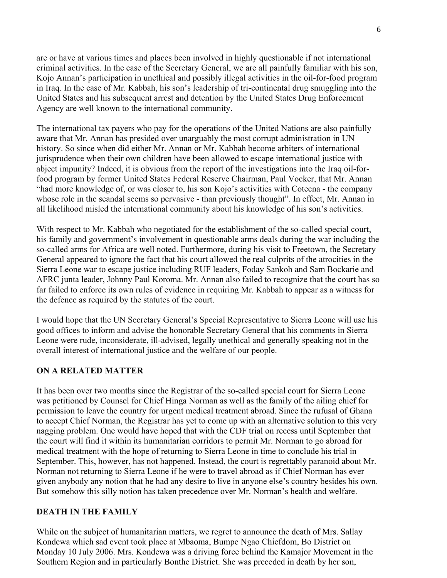are or have at various times and places been involved in highly questionable if not international criminal activities. In the case of the Secretary General, we are all painfully familiar with his son, Kojo Annan's participation in unethical and possibly illegal activities in the oil-for-food program in Iraq. In the case of Mr. Kabbah, his son's leadership of tri-continental drug smuggling into the United States and his subsequent arrest and detention by the United States Drug Enforcement Agency are well known to the international community.

The international tax payers who pay for the operations of the United Nations are also painfully aware that Mr. Annan has presided over unarguably the most corrupt administration in UN history. So since when did either Mr. Annan or Mr. Kabbah become arbiters of international jurisprudence when their own children have been allowed to escape international justice with abject impunity? Indeed, it is obvious from the report of the investigations into the Iraq oil-forfood program by former United States Federal Reserve Chairman, Paul Vocker, that Mr. Annan "had more knowledge of, or was closer to, his son Kojo's activities with Cotecna - the company whose role in the scandal seems so pervasive - than previously thought". In effect, Mr. Annan in all likelihood misled the international community about his knowledge of his son's activities.

With respect to Mr. Kabbah who negotiated for the establishment of the so-called special court, his family and government's involvement in questionable arms deals during the war including the so-called arms for Africa are well noted. Furthermore, during his visit to Freetown, the Secretary General appeared to ignore the fact that his court allowed the real culprits of the atrocities in the Sierra Leone war to escape justice including RUF leaders, Foday Sankoh and Sam Bockarie and AFRC junta leader, Johnny Paul Koroma. Mr. Annan also failed to recognize that the court has so far failed to enforce its own rules of evidence in requiring Mr. Kabbah to appear as a witness for the defence as required by the statutes of the court.

I would hope that the UN Secretary General's Special Representative to Sierra Leone will use his good offices to inform and advise the honorable Secretary General that his comments in Sierra Leone were rude, inconsiderate, ill-advised, legally unethical and generally speaking not in the overall interest of international justice and the welfare of our people.

### **ON A RELATED MATTER**

It has been over two months since the Registrar of the so-called special court for Sierra Leone was petitioned by Counsel for Chief Hinga Norman as well as the family of the ailing chief for permission to leave the country for urgent medical treatment abroad. Since the rufusal of Ghana to accept Chief Norman, the Registrar has yet to come up with an alternative solution to this very nagging problem. One would have hoped that with the CDF trial on recess until September that the court will find it within its humanitarian corridors to permit Mr. Norman to go abroad for medical treatment with the hope of returning to Sierra Leone in time to conclude his trial in September. This, however, has not happened. Instead, the court is regrettably paranoid about Mr. Norman not returning to Sierra Leone if he were to travel abroad as if Chief Norman has ever given anybody any notion that he had any desire to live in anyone else's country besides his own. But somehow this silly notion has taken precedence over Mr. Norman's health and welfare.

### **DEATH IN THE FAMILY**

While on the subject of humanitarian matters, we regret to announce the death of Mrs. Sallay Kondewa which sad event took place at Mbaoma, Bumpe Ngao Chiefdom, Bo District on Monday 10 July 2006. Mrs. Kondewa was a driving force behind the Kamajor Movement in the Southern Region and in particularly Bonthe District. She was preceded in death by her son,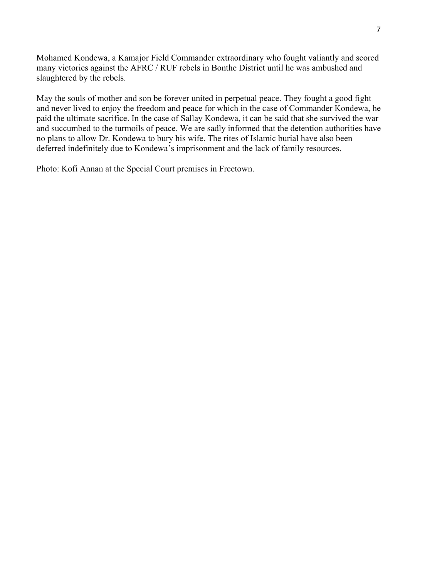Mohamed Kondewa, a Kamajor Field Commander extraordinary who fought valiantly and scored many victories against the AFRC / RUF rebels in Bonthe District until he was ambushed and slaughtered by the rebels.

May the souls of mother and son be forever united in perpetual peace. They fought a good fight and never lived to enjoy the freedom and peace for which in the case of Commander Kondewa, he paid the ultimate sacrifice. In the case of Sallay Kondewa, it can be said that she survived the war and succumbed to the turmoils of peace. We are sadly informed that the detention authorities have no plans to allow Dr. Kondewa to bury his wife. The rites of Islamic burial have also been deferred indefinitely due to Kondewa's imprisonment and the lack of family resources.

Photo: Kofi Annan at the Special Court premises in Freetown.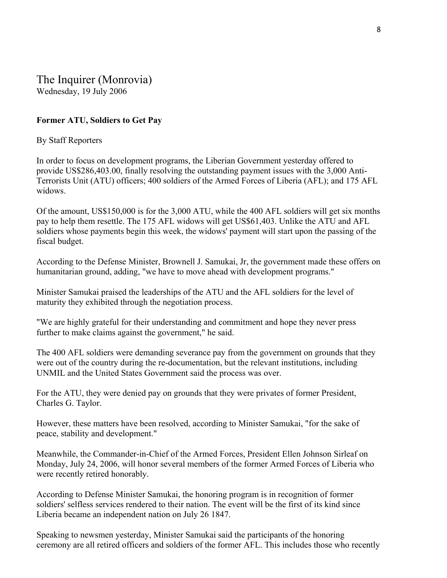The Inquirer (Monrovia) Wednesday, 19 July 2006

### **Former ATU, Soldiers to Get Pay**

### By Staff Reporters

In order to focus on development programs, the Liberian Government yesterday offered to provide US\$286,403.00, finally resolving the outstanding payment issues with the 3,000 Anti-Terrorists Unit (ATU) officers; 400 soldiers of the Armed Forces of Liberia (AFL); and 175 AFL widows.

Of the amount, US\$150,000 is for the 3,000 ATU, while the 400 AFL soldiers will get six months pay to help them resettle. The 175 AFL widows will get US\$61,403. Unlike the ATU and AFL soldiers whose payments begin this week, the widows' payment will start upon the passing of the fiscal budget.

According to the Defense Minister, Brownell J. Samukai, Jr, the government made these offers on humanitarian ground, adding, "we have to move ahead with development programs."

Minister Samukai praised the leaderships of the ATU and the AFL soldiers for the level of maturity they exhibited through the negotiation process.

"We are highly grateful for their understanding and commitment and hope they never press further to make claims against the government," he said.

The 400 AFL soldiers were demanding severance pay from the government on grounds that they were out of the country during the re-documentation, but the relevant institutions, including UNMIL and the United States Government said the process was over.

For the ATU, they were denied pay on grounds that they were privates of former President, Charles G. Taylor.

However, these matters have been resolved, according to Minister Samukai, "for the sake of peace, stability and development."

Meanwhile, the Commander-in-Chief of the Armed Forces, President Ellen Johnson Sirleaf on Monday, July 24, 2006, will honor several members of the former Armed Forces of Liberia who were recently retired honorably.

According to Defense Minister Samukai, the honoring program is in recognition of former soldiers' selfless services rendered to their nation. The event will be the first of its kind since Liberia became an independent nation on July 26 1847.

Speaking to newsmen yesterday, Minister Samukai said the participants of the honoring ceremony are all retired officers and soldiers of the former AFL. This includes those who recently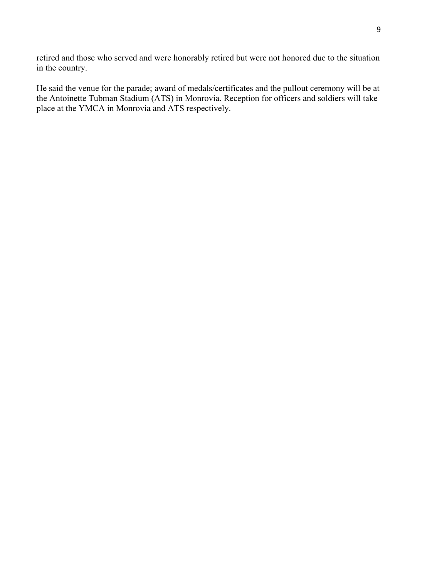retired and those who served and were honorably retired but were not honored due to the situation in the country.

He said the venue for the parade; award of medals/certificates and the pullout ceremony will be at the Antoinette Tubman Stadium (ATS) in Monrovia. Reception for officers and soldiers will take place at the YMCA in Monrovia and ATS respectively.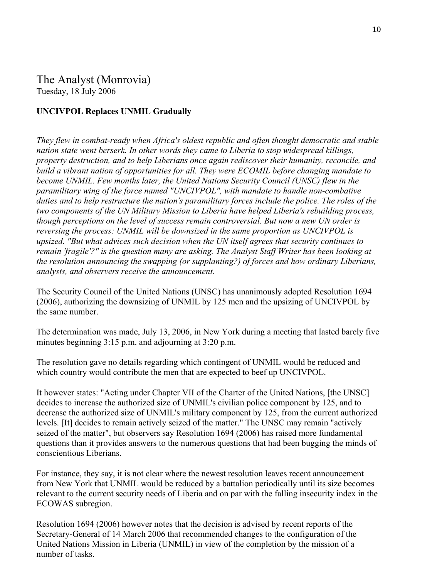### The Analyst (Monrovia) Tuesday, 18 July 2006

### **UNCIVPOL Replaces UNMIL Gradually**

*They flew in combat-ready when Africa's oldest republic and often thought democratic and stable nation state went berserk. In other words they came to Liberia to stop widespread killings, property destruction, and to help Liberians once again rediscover their humanity, reconcile, and build a vibrant nation of opportunities for all. They were ECOMIL before changing mandate to become UNMIL. Few months later, the United Nations Security Council (UNSC) flew in the paramilitary wing of the force named "UNCIVPOL", with mandate to handle non-combative duties and to help restructure the nation's paramilitary forces include the police. The roles of the two components of the UN Military Mission to Liberia have helped Liberia's rebuilding process, though perceptions on the level of success remain controversial. But now a new UN order is reversing the process: UNMIL will be downsized in the same proportion as UNCIVPOL is upsized. "But what advices such decision when the UN itself agrees that security continues to remain 'fragile'?" is the question many are asking. The Analyst Staff Writer has been looking at the resolution announcing the swapping (or supplanting?) of forces and how ordinary Liberians, analysts, and observers receive the announcement.*

The Security Council of the United Nations (UNSC) has unanimously adopted Resolution 1694 (2006), authorizing the downsizing of UNMIL by 125 men and the upsizing of UNCIVPOL by the same number.

The determination was made, July 13, 2006, in New York during a meeting that lasted barely five minutes beginning 3:15 p.m. and adjourning at 3:20 p.m.

The resolution gave no details regarding which contingent of UNMIL would be reduced and which country would contribute the men that are expected to beef up UNCIVPOL.

It however states: "Acting under Chapter VII of the Charter of the United Nations, [the UNSC] decides to increase the authorized size of UNMIL's civilian police component by 125, and to decrease the authorized size of UNMIL's military component by 125, from the current authorized levels. [It] decides to remain actively seized of the matter." The UNSC may remain "actively seized of the matter", but observers say Resolution 1694 (2006) has raised more fundamental questions than it provides answers to the numerous questions that had been bugging the minds of conscientious Liberians.

For instance, they say, it is not clear where the newest resolution leaves recent announcement from New York that UNMIL would be reduced by a battalion periodically until its size becomes relevant to the current security needs of Liberia and on par with the falling insecurity index in the ECOWAS subregion.

Resolution 1694 (2006) however notes that the decision is advised by recent reports of the Secretary-General of 14 March 2006 that recommended changes to the configuration of the United Nations Mission in Liberia (UNMIL) in view of the completion by the mission of a number of tasks.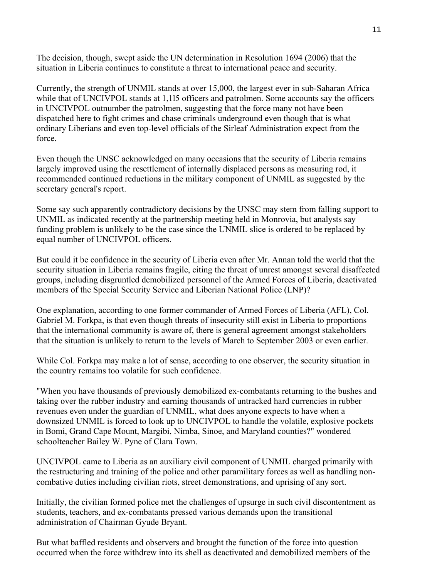The decision, though, swept aside the UN determination in Resolution 1694 (2006) that the situation in Liberia continues to constitute a threat to international peace and security.

Currently, the strength of UNMIL stands at over 15,000, the largest ever in sub-Saharan Africa while that of UNCIVPOL stands at 1,115 officers and patrolmen. Some accounts say the officers in UNCIVPOL outnumber the patrolmen, suggesting that the force many not have been dispatched here to fight crimes and chase criminals underground even though that is what ordinary Liberians and even top-level officials of the Sirleaf Administration expect from the force.

Even though the UNSC acknowledged on many occasions that the security of Liberia remains largely improved using the resettlement of internally displaced persons as measuring rod, it recommended continued reductions in the military component of UNMIL as suggested by the secretary general's report.

Some say such apparently contradictory decisions by the UNSC may stem from falling support to UNMIL as indicated recently at the partnership meeting held in Monrovia, but analysts say funding problem is unlikely to be the case since the UNMIL slice is ordered to be replaced by equal number of UNCIVPOL officers.

But could it be confidence in the security of Liberia even after Mr. Annan told the world that the security situation in Liberia remains fragile, citing the threat of unrest amongst several disaffected groups, including disgruntled demobilized personnel of the Armed Forces of Liberia, deactivated members of the Special Security Service and Liberian National Police (LNP)?

One explanation, according to one former commander of Armed Forces of Liberia (AFL), Col. Gabriel M. Forkpa, is that even though threats of insecurity still exist in Liberia to proportions that the international community is aware of, there is general agreement amongst stakeholders that the situation is unlikely to return to the levels of March to September 2003 or even earlier.

While Col. Forkpa may make a lot of sense, according to one observer, the security situation in the country remains too volatile for such confidence.

"When you have thousands of previously demobilized ex-combatants returning to the bushes and taking over the rubber industry and earning thousands of untracked hard currencies in rubber revenues even under the guardian of UNMIL, what does anyone expects to have when a downsized UNMIL is forced to look up to UNCIVPOL to handle the volatile, explosive pockets in Bomi, Grand Cape Mount, Margibi, Nimba, Sinoe, and Maryland counties?" wondered schoolteacher Bailey W. Pyne of Clara Town.

UNCIVPOL came to Liberia as an auxiliary civil component of UNMIL charged primarily with the restructuring and training of the police and other paramilitary forces as well as handling noncombative duties including civilian riots, street demonstrations, and uprising of any sort.

Initially, the civilian formed police met the challenges of upsurge in such civil discontentment as students, teachers, and ex-combatants pressed various demands upon the transitional administration of Chairman Gyude Bryant.

But what baffled residents and observers and brought the function of the force into question occurred when the force withdrew into its shell as deactivated and demobilized members of the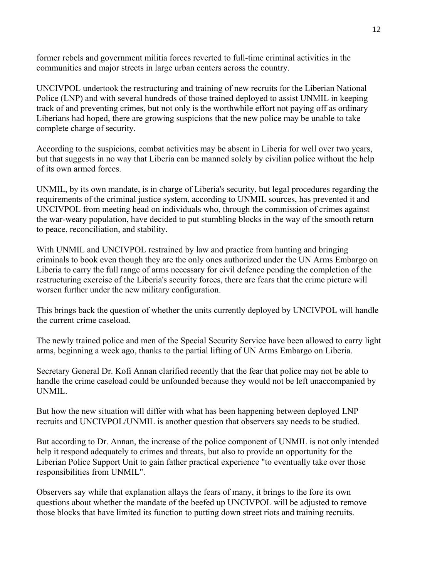former rebels and government militia forces reverted to full-time criminal activities in the communities and major streets in large urban centers across the country.

UNCIVPOL undertook the restructuring and training of new recruits for the Liberian National Police (LNP) and with several hundreds of those trained deployed to assist UNMIL in keeping track of and preventing crimes, but not only is the worthwhile effort not paying off as ordinary Liberians had hoped, there are growing suspicions that the new police may be unable to take complete charge of security.

According to the suspicions, combat activities may be absent in Liberia for well over two years, but that suggests in no way that Liberia can be manned solely by civilian police without the help of its own armed forces.

UNMIL, by its own mandate, is in charge of Liberia's security, but legal procedures regarding the requirements of the criminal justice system, according to UNMIL sources, has prevented it and UNCIVPOL from meeting head on individuals who, through the commission of crimes against the war-weary population, have decided to put stumbling blocks in the way of the smooth return to peace, reconciliation, and stability.

With UNMIL and UNCIVPOL restrained by law and practice from hunting and bringing criminals to book even though they are the only ones authorized under the UN Arms Embargo on Liberia to carry the full range of arms necessary for civil defence pending the completion of the restructuring exercise of the Liberia's security forces, there are fears that the crime picture will worsen further under the new military configuration.

This brings back the question of whether the units currently deployed by UNCIVPOL will handle the current crime caseload.

The newly trained police and men of the Special Security Service have been allowed to carry light arms, beginning a week ago, thanks to the partial lifting of UN Arms Embargo on Liberia.

Secretary General Dr. Kofi Annan clarified recently that the fear that police may not be able to handle the crime caseload could be unfounded because they would not be left unaccompanied by UNMIL.

But how the new situation will differ with what has been happening between deployed LNP recruits and UNCIVPOL/UNMIL is another question that observers say needs to be studied.

But according to Dr. Annan, the increase of the police component of UNMIL is not only intended help it respond adequately to crimes and threats, but also to provide an opportunity for the Liberian Police Support Unit to gain father practical experience "to eventually take over those responsibilities from UNMIL".

Observers say while that explanation allays the fears of many, it brings to the fore its own questions about whether the mandate of the beefed up UNCIVPOL will be adjusted to remove those blocks that have limited its function to putting down street riots and training recruits.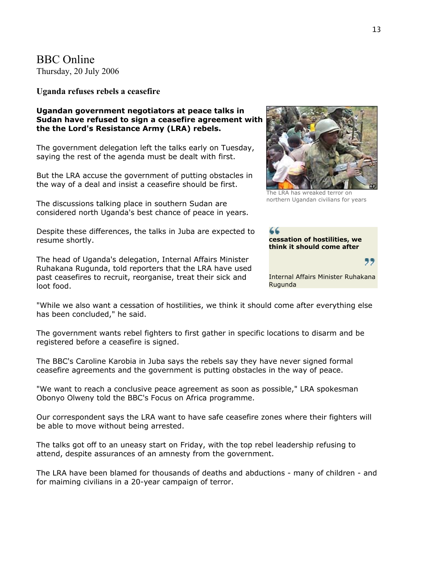BBC Online Thursday, 20 July 2006

**Uganda refuses rebels a ceasefire** 

#### **Ugandan government negotiators at peace talks in Sudan have refused to sign a ceasefire agreement with the the Lord's Resistance Army (LRA) rebels.**

The government delegation left the talks early on Tuesday, saying the rest of the agenda must be dealt with first.

But the LRA accuse the government of putting obstacles in the way of a deal and insist a ceasefire should be first.

The discussions talking place in southern Sudan are considered north Uganda's best chance of peace in years.

Despite these differences, the talks in Juba are expected to resume shortly.

The head of Uganda's delegation, Internal Affairs Minister Ruhakana Rugunda, told reporters that the LRA have used past ceasefires to recruit, reorganise, treat their sick and loot food.

The LRA has wreaked terror on

northern Ugandan civilians for years

**cessation of hostilities, we think it should come after** 

Internal Affairs Minister Ruhakana Rugunda

"

"While we also want a cessation of hostilities, we think it should come after everything else has been concluded," he said.

The government wants rebel fighters to first gather in specific locations to disarm and be registered before a ceasefire is signed.

The BBC's Caroline Karobia in Juba says the rebels say they have never signed formal ceasefire agreements and the government is putting obstacles in the way of peace.

"We want to reach a conclusive peace agreement as soon as possible," LRA spokesman Obonyo Olweny told the BBC's Focus on Africa programme.

Our correspondent says the LRA want to have safe ceasefire zones where their fighters will be able to move without being arrested.

The talks got off to an uneasy start on Friday, with the top rebel leadership refusing to attend, despite assurances of an amnesty from the government.

The LRA have been blamed for thousands of deaths and abductions - many of children - and for maiming civilians in a 20-year campaign of terror.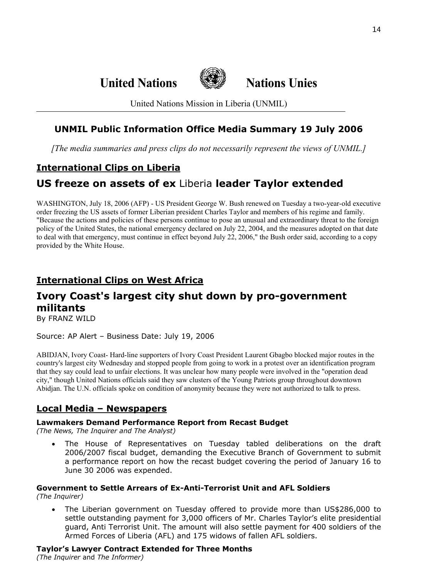**United Nations Nations Unies**



United Nations Mission in Liberia (UNMIL)

# **UNMIL Public Information Office Media Summary 19 July 2006**

*[The media summaries and press clips do not necessarily represent the views of UNMIL.]*

# **International Clips on Liberia**

# **US freeze on assets of ex** Liberia **leader Taylor extended**

WASHINGTON, July 18, 2006 (AFP) - US President George W. Bush renewed on Tuesday a two-year-old executive order freezing the US assets of former Liberian president Charles Taylor and members of his regime and family. "Because the actions and policies of these persons continue to pose an unusual and extraordinary threat to the foreign policy of the United States, the national emergency declared on July 22, 2004, and the measures adopted on that date to deal with that emergency, must continue in effect beyond July 22, 2006," the Bush order said, according to a copy provided by the White House.

# **International Clips on West Africa**

# **Ivory Coast's largest city shut down by pro-government militants**

By FRANZ WILD

Source: AP Alert – Business Date: July 19, 2006

ABIDJAN, Ivory Coast- Hard-line supporters of Ivory Coast President Laurent Gbagbo blocked major routes in the country's largest city Wednesday and stopped people from going to work in a protest over an identification program that they say could lead to unfair elections. It was unclear how many people were involved in the "operation dead city," though United Nations officials said they saw clusters of the Young Patriots group throughout downtown Abidjan. The U.N. officials spoke on condition of anonymity because they were not authorized to talk to press.

## **Local Media – Newspapers**

### **Lawmakers Demand Performance Report from Recast Budget**

*(The News, The Inquirer and The Analyst)* 

• The House of Representatives on Tuesday tabled deliberations on the draft 2006/2007 fiscal budget, demanding the Executive Branch of Government to submit a performance report on how the recast budget covering the period of January 16 to June 30 2006 was expended.

# **Government to Settle Arrears of Ex-Anti-Terrorist Unit and AFL Soldiers**

*(The Inquirer)* 

• The Liberian government on Tuesday offered to provide more than US\$286,000 to settle outstanding payment for 3,000 officers of Mr. Charles Taylor's elite presidential guard, Anti Terrorist Unit. The amount will also settle payment for 400 soldiers of the Armed Forces of Liberia (AFL) and 175 widows of fallen AFL soldiers.

**Taylor's Lawyer Contract Extended for Three Months**

*(The Inquirer* and *The Informer)*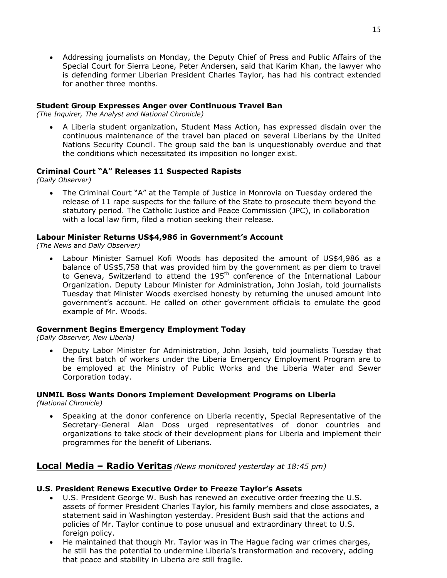• Addressing journalists on Monday, the Deputy Chief of Press and Public Affairs of the Special Court for Sierra Leone, Peter Andersen, said that Karim Khan, the lawyer who is defending former Liberian President Charles Taylor, has had his contract extended for another three months.

### **Student Group Expresses Anger over Continuous Travel Ban**

*(The Inquirer, The Analyst and National Chronicle)* 

• A Liberia student organization, Student Mass Action, has expressed disdain over the continuous maintenance of the travel ban placed on several Liberians by the United Nations Security Council. The group said the ban is unquestionably overdue and that the conditions which necessitated its imposition no longer exist.

### **Criminal Court "A" Releases 11 Suspected Rapists**

*(Daily Observer)*

• The Criminal Court "A" at the Temple of Justice in Monrovia on Tuesday ordered the release of 11 rape suspects for the failure of the State to prosecute them beyond the statutory period. The Catholic Justice and Peace Commission (JPC), in collaboration with a local law firm, filed a motion seeking their release.

### **Labour Minister Returns US\$4,986 in Government's Account**

*(The News* and *Daily Observer)* 

• Labour Minister Samuel Kofi Woods has deposited the amount of US\$4,986 as a balance of US\$5,758 that was provided him by the government as per diem to travel to Geneva, Switzerland to attend the 195<sup>th</sup> conference of the International Labour Organization. Deputy Labour Minister for Administration, John Josiah, told journalists Tuesday that Minister Woods exercised honesty by returning the unused amount into government's account. He called on other government officials to emulate the good example of Mr. Woods.

### **Government Begins Emergency Employment Today**

*(Daily Observer, New Liberia)* 

• Deputy Labor Minister for Administration, John Josiah, told journalists Tuesday that the first batch of workers under the Liberia Emergency Employment Program are to be employed at the Ministry of Public Works and the Liberia Water and Sewer Corporation today.

### **UNMIL Boss Wants Donors Implement Development Programs on Liberia**

*(National Chronicle)* 

• Speaking at the donor conference on Liberia recently, Special Representative of the Secretary-General Alan Doss urged representatives of donor countries and organizations to take stock of their development plans for Liberia and implement their programmes for the benefit of Liberians.

### **Local Media – Radio Veritas** *(News monitored yesterday at 18:45 pm)*

### **U.S. President Renews Executive Order to Freeze Taylor's Assets**

- U.S. President George W. Bush has renewed an executive order freezing the U.S. assets of former President Charles Taylor, his family members and close associates, a statement said in Washington yesterday. President Bush said that the actions and policies of Mr. Taylor continue to pose unusual and extraordinary threat to U.S. foreign policy.
- He maintained that though Mr. Taylor was in The Hague facing war crimes charges, he still has the potential to undermine Liberia's transformation and recovery, adding that peace and stability in Liberia are still fragile.